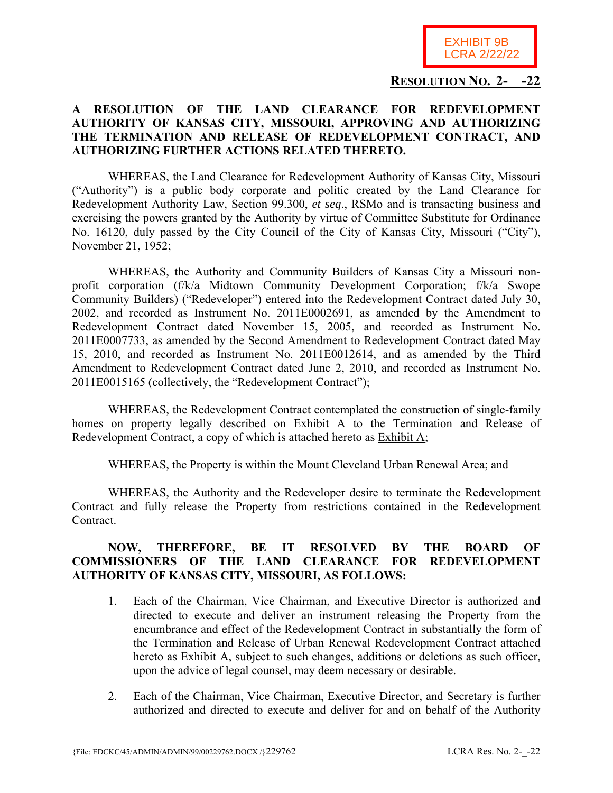

## **RESOLUTION NO. 2-\_\_-22**

## **A RESOLUTION OF THE LAND CLEARANCE FOR REDEVELOPMENT AUTHORITY OF KANSAS CITY, MISSOURI, APPROVING AND AUTHORIZING THE TERMINATION AND RELEASE OF REDEVELOPMENT CONTRACT, AND AUTHORIZING FURTHER ACTIONS RELATED THERETO.**

WHEREAS, the Land Clearance for Redevelopment Authority of Kansas City, Missouri ("Authority") is a public body corporate and politic created by the Land Clearance for Redevelopment Authority Law, Section 99.300, *et seq*., RSMo and is transacting business and exercising the powers granted by the Authority by virtue of Committee Substitute for Ordinance No. 16120, duly passed by the City Council of the City of Kansas City, Missouri ("City"), November 21, 1952;

WHEREAS, the Authority and Community Builders of Kansas City a Missouri nonprofit corporation (f/k/a Midtown Community Development Corporation; f/k/a Swope Community Builders) ("Redeveloper") entered into the Redevelopment Contract dated July 30, 2002, and recorded as Instrument No. 2011E0002691, as amended by the Amendment to Redevelopment Contract dated November 15, 2005, and recorded as Instrument No. 2011E0007733, as amended by the Second Amendment to Redevelopment Contract dated May 15, 2010, and recorded as Instrument No. 2011E0012614, and as amended by the Third Amendment to Redevelopment Contract dated June 2, 2010, and recorded as Instrument No. 2011E0015165 (collectively, the "Redevelopment Contract");

WHEREAS, the Redevelopment Contract contemplated the construction of single-family homes on property legally described on Exhibit A to the Termination and Release of Redevelopment Contract, a copy of which is attached hereto as Exhibit A;

WHEREAS, the Property is within the Mount Cleveland Urban Renewal Area; and

WHEREAS, the Authority and the Redeveloper desire to terminate the Redevelopment Contract and fully release the Property from restrictions contained in the Redevelopment Contract.

## **NOW, THEREFORE, BE IT RESOLVED BY THE BOARD OF COMMISSIONERS OF THE LAND CLEARANCE FOR REDEVELOPMENT AUTHORITY OF KANSAS CITY, MISSOURI, AS FOLLOWS:**

- 1. Each of the Chairman, Vice Chairman, and Executive Director is authorized and directed to execute and deliver an instrument releasing the Property from the encumbrance and effect of the Redevelopment Contract in substantially the form of the Termination and Release of Urban Renewal Redevelopment Contract attached hereto as Exhibit A, subject to such changes, additions or deletions as such officer, upon the advice of legal counsel, may deem necessary or desirable.
- 2. Each of the Chairman, Vice Chairman, Executive Director, and Secretary is further authorized and directed to execute and deliver for and on behalf of the Authority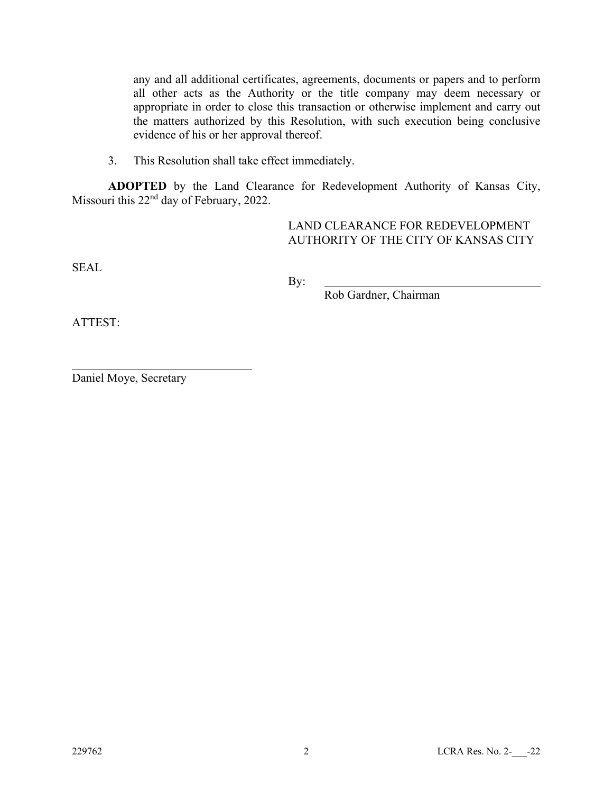any and all additional certificates, agreements, documents or papers and to perform all other acts as the Authority or the title company may deem necessary or appropriate in order to close this transaction or otherwise implement and carry out the matters authorized by this Resolution, with such execution being conclusive evidence of his or her approval thereof.

3. This Resolution shall take effect immediately.

**ADOPTED** by the Land Clearance for Redevelopment Authority of Kansas City, Missouri this 22<sup>nd</sup> day of February, 2022.

> LAND CLEARANCE FOR REDEVELOPMENT AUTHORITY OF THE CITY OF KANSAS CITY

SEAL

By:

Rob Gardner, Chairman

ATTEST:

 $\overline{a}$ 

Daniel Moye, Secretary